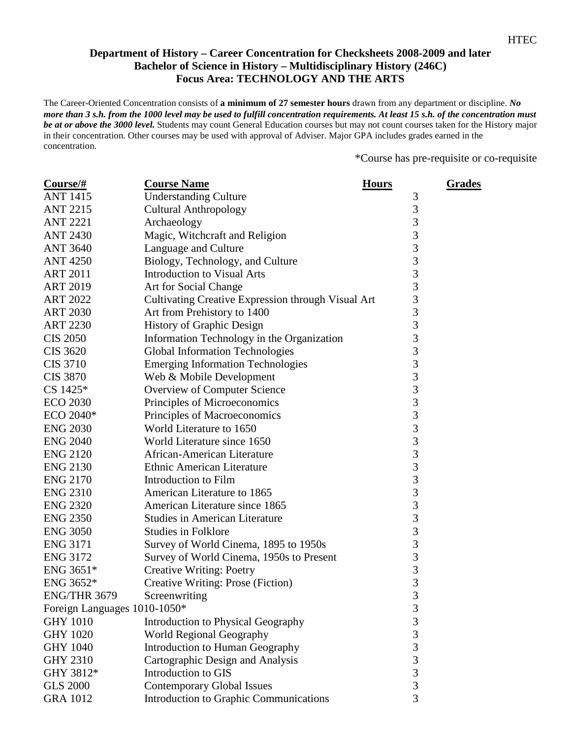## **Department of History – Career Concentration for Checksheets 2008-2009 and later Bachelor of Science in History – Multidisciplinary History (246C) Focus Area: TECHNOLOGY AND THE ARTS**

The Career-Oriented Concentration consists of **a minimum of 27 semester hours** drawn from any department or discipline. *No more than 3 s.h. from the 1000 level may be used to fulfill concentration requirements. At least 15 s.h. of the concentration must be at or above the 3000 level.* Students may count General Education courses but may not count courses taken for the History major in their concentration. Other courses may be used with approval of Adviser. Major GPA includes grades earned in the concentration.

\*Course has pre-requisite or co-requisite

| $Course/\#$                  | <b>Course Name</b>                                 | <b>Hours</b>                               | <b>Grades</b> |
|------------------------------|----------------------------------------------------|--------------------------------------------|---------------|
| <b>ANT 1415</b>              | <b>Understanding Culture</b>                       | 3                                          |               |
| <b>ANT 2215</b>              | <b>Cultural Anthropology</b>                       | 3                                          |               |
| <b>ANT 2221</b>              | Archaeology                                        | 3                                          |               |
| <b>ANT 2430</b>              | Magic, Witchcraft and Religion                     | 3                                          |               |
| <b>ANT 3640</b>              | Language and Culture                               | $\begin{array}{c} 3 \\ 3 \\ 3 \end{array}$ |               |
| <b>ANT 4250</b>              | Biology, Technology, and Culture                   |                                            |               |
| <b>ART 2011</b>              | <b>Introduction to Visual Arts</b>                 |                                            |               |
| <b>ART 2019</b>              | Art for Social Change                              | 3                                          |               |
| <b>ART 2022</b>              | Cultivating Creative Expression through Visual Art | 3                                          |               |
| <b>ART 2030</b>              | Art from Prehistory to 1400                        | 3                                          |               |
| <b>ART 2230</b>              | <b>History of Graphic Design</b>                   | 3                                          |               |
| <b>CIS 2050</b>              | Information Technology in the Organization         | 3                                          |               |
| <b>CIS 3620</b>              | <b>Global Information Technologies</b>             | 3                                          |               |
| <b>CIS 3710</b>              | <b>Emerging Information Technologies</b>           | 3                                          |               |
| <b>CIS 3870</b>              | Web & Mobile Development                           | 3                                          |               |
| $CS 1425*$                   | Overview of Computer Science                       | $\overline{3}$                             |               |
| <b>ECO 2030</b>              | Principles of Microeconomics                       | 3                                          |               |
| ECO 2040*                    | Principles of Macroeconomics                       | $\overline{3}$                             |               |
| <b>ENG 2030</b>              | World Literature to 1650                           | 3                                          |               |
| <b>ENG 2040</b>              | World Literature since 1650                        | $\frac{3}{3}$                              |               |
| <b>ENG 2120</b>              | African-American Literature                        |                                            |               |
| <b>ENG 2130</b>              | <b>Ethnic American Literature</b>                  | 3                                          |               |
| <b>ENG 2170</b>              | Introduction to Film                               | 3                                          |               |
| <b>ENG 2310</b>              | American Literature to 1865                        | 3                                          |               |
| <b>ENG 2320</b>              | American Literature since 1865                     | $\begin{array}{c} 3 \\ 3 \\ 3 \end{array}$ |               |
| <b>ENG 2350</b>              | <b>Studies in American Literature</b>              |                                            |               |
| <b>ENG 3050</b>              | <b>Studies in Folklore</b>                         |                                            |               |
| <b>ENG 3171</b>              | Survey of World Cinema, 1895 to 1950s              | $\overline{3}$                             |               |
| <b>ENG 3172</b>              | Survey of World Cinema, 1950s to Present           | $\overline{3}$                             |               |
| ENG 3651*                    | <b>Creative Writing: Poetry</b>                    | 3                                          |               |
| ENG 3652*                    | Creative Writing: Prose (Fiction)                  | 3                                          |               |
| ENG/THR 3679                 | Screenwriting                                      | 3                                          |               |
| Foreign Languages 1010-1050* |                                                    | 3                                          |               |
| <b>GHY 1010</b>              | Introduction to Physical Geography                 | 3                                          |               |
| <b>GHY 1020</b>              | <b>World Regional Geography</b>                    | 3                                          |               |
| <b>GHY 1040</b>              | Introduction to Human Geography                    | $\overline{\mathbf{3}}$                    |               |
| <b>GHY 2310</b>              | Cartographic Design and Analysis                   | 3                                          |               |
| GHY 3812*                    | Introduction to GIS                                | $\overline{3}$                             |               |
| <b>GLS 2000</b>              | <b>Contemporary Global Issues</b>                  | $\overline{3}$                             |               |
| <b>GRA 1012</b>              | Introduction to Graphic Communications             | 3                                          |               |